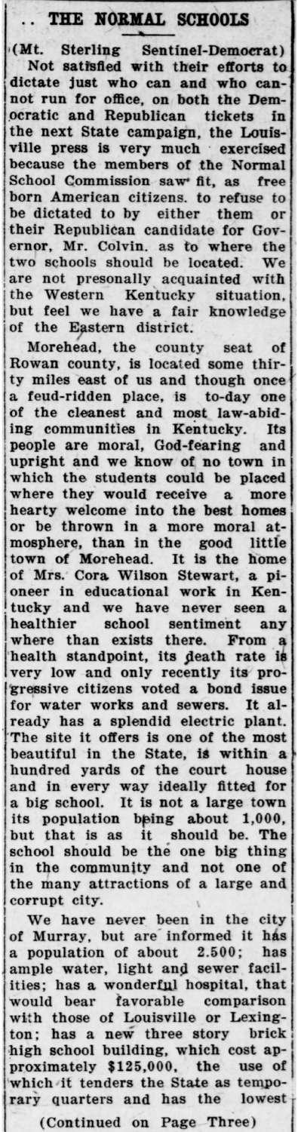## THE **NORMAL SCHOOLS**

,(Mt. Sterling Sentinel-Democrat) Not satisfied with their efforts to dictate just who can **and who can**not run for office, on **both** the Dem- \_ocratic and Republican tickets fn the next State campaign, the Louisville press is very much · exercised because the members of the Normal School Commission saw fit, as free born American citizens. to refuse to be dictated to by either them or their Republican candidate for Governor, Mr. Colvin. as to where the two schools should be located. We are not presonally acquainted with the Western Kentucky situation, but feel we have a fair knowledge of the Eastern district.

Morehead, the county seat of Rowan county, is located some thirty miles east of us and though once a feud-ridden place, is to-day one of the cleanest and most law-abiding communities in Kentucky. Its people are moral, God-fearing and upright and we know of no town in which the students could be placed where they would receive a more hearty welcome into the best homes or be thrown in a more moral atmosphere, than in the good little town of Morehead. It is the home of Mrs. Cora Wilson Stewart, a pioneer in educational **work** in Ken tucky and we have never seen a healthier school sentiment any where than exists there. From a health standpoint, its death rate is<br>very low and only recently its provery low and only recently its pro- 'gressive citizens voted a bond **issue**  for water works and sewers. It already has a splendid electric plant. 'The site it offers is one of the most beautiful in the State, is within a hundred yards of the court house and in every way ideally fitted for a big school. It is not a large town its population being about 1,000, but that is as it should be. The school should be the one big thing in the community and not one of the many attractions of a large and corrupt city.

We have never been in the city of Murray, but are informed it has a population of about 2.500; has ample water, light and sewer facilities; has a wonderful hospital, that would bear favorable comparison wtth those of Louisville or Lexington; has a new three story brick high school building, which cost approximately \$125,000, the use of which it tenders the State as temporary quarters and has the lowest

(Continued on Page Three)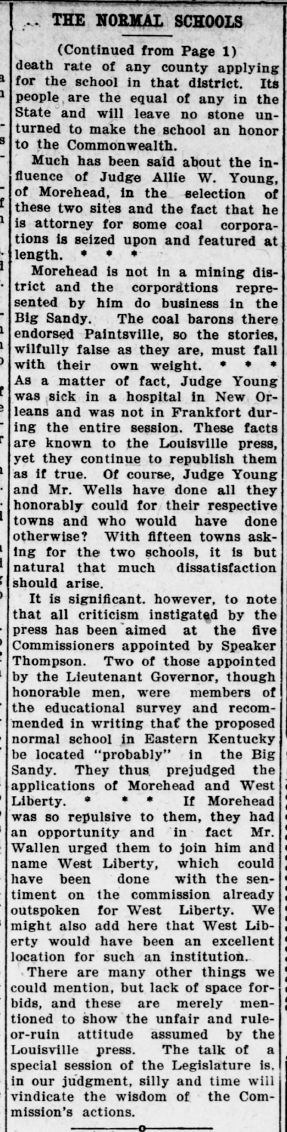## THE NORMAL SCHOOLS

(Continued from **Page 1)**  death rate of any county applying  $\frac{a}{b}$  for the school in that district. Its <sup>1</sup> people are the equal of any in the State and will leave no stone un- - turned to make the school an honor <sup>9</sup> to the Commonwealth.

Much has been said about the influence of Judge Allie W. Young, of Morehead, in the selection of  $f$  these two sites and the fact that he<br>is attenue for the fact that he is attorney for some coal corporations is seized upon and featured at  $\cdot$  length.  $\cdot$ 

Morehead is not in a mining dis-. trict and the corporations represen ted by him do business In the Big Sandy. The coal barons there  $\frac{1}{2}$  endorsed Paintsville, so the stories, wilfully false as they are, must fall with their own weight. • • • As a matter of fact, Judge Young was sick in a hospital in New Orleans and was not in Frankfort dur ing the entire session. These facts are known to the Louisville press, yet they continue to republish them  $\frac{1}{2}$  as if true. Of course, Judge Young and Mr. Wells have done all they honorably could for their respective towns and who would have done otherwise? With fifteen towns asking for the two schools, it is but natural that much dissatisfaction natura.<br>should arise.

It is significant. however, to note that all criticism instigated by the press has been aimed at the five • Commissioners appointed by Speaker Thompson. Two of those appointed by the Lieutenant Governor, though honorable men, were members of the educational survey and recom mended in writing that the proposed normal school in Eastern Kentucky be located "probably" in the Big Sandy. They thus. prejudged the applications of Morehead and West Liberty. \* \* \* If Morehead was so repulsive to them, they had an opportunity and in fact Mr. Wallen urged them to join him and name West Liberty, which could have been done with the sentiment on the commission already outspoken for West Liberty. We might also add here that West Liberty would have been an excellent location for such an institution.

1

,

Ē e

ı

Ĺ L

> There are many other things we could mention, but lack of space forbids, and these are merely mentioned to show the unfair and ruleor-ruin attitude assumed by the Louisville press. The talk of a special session of the Legislature is, in our judgment, silly and time will vindicate the wisdom of the Commission's actions.